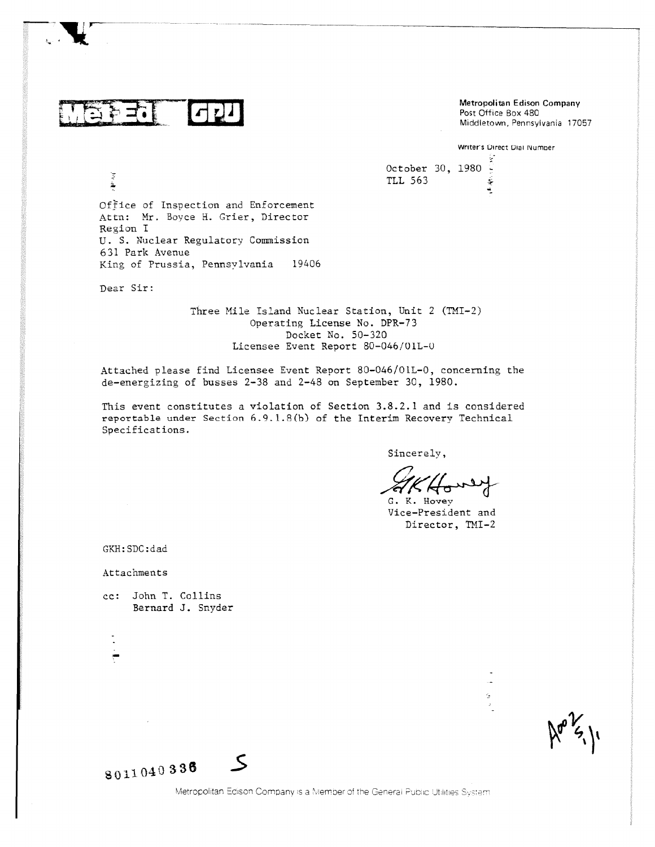も ゴ・ドー

Metropolitan Edison Company<br>
Post Office Box 480<br>
Middletown, Pennsylvania 17057 Post Office Box 480

Writer's Direct Dial Number

¥

医原

October 30, 1980 -TLL 563

Office of Inspection and Enforcement Attn: Mr. Boyce H. Crier, Director Region I U. S. Nuclear Regulatory Commission 631 Park Avenue King of Prussia, Pennsylvania 19406

Dear Sir:

 $\mathbf{H}^{1,1}$  of  $\mathbf{f}$ 

Three Mile Island Nuclear Station, Unit 2 (TMI-2) Operating License No. DPR-73 Docket No. 50-320 Licensee Event Report 80-046/01L-U

Attached please find Licensee Event Report 80-046/01L-0, concerning the de-energizing of busses 2-38 and 2-48 on September 30, 1980.

This event constitutes a violation of Section 3.8.2.1 and is considered reportable under Section 6.9.1.8(b) of the Interim Recovery Technical Specifications.

Sincerely,

G. K. Hovey Vice-President and Director, TMI-2

 $\mathbb{S}$ 

GKH:SDC:dad

Attachments

malt

cc: John T. Collins Bernard J. Snyder

\$011,040 338

 $\zeta$ 

Metropolitan Edison Company is a Member of the General Public Utilities System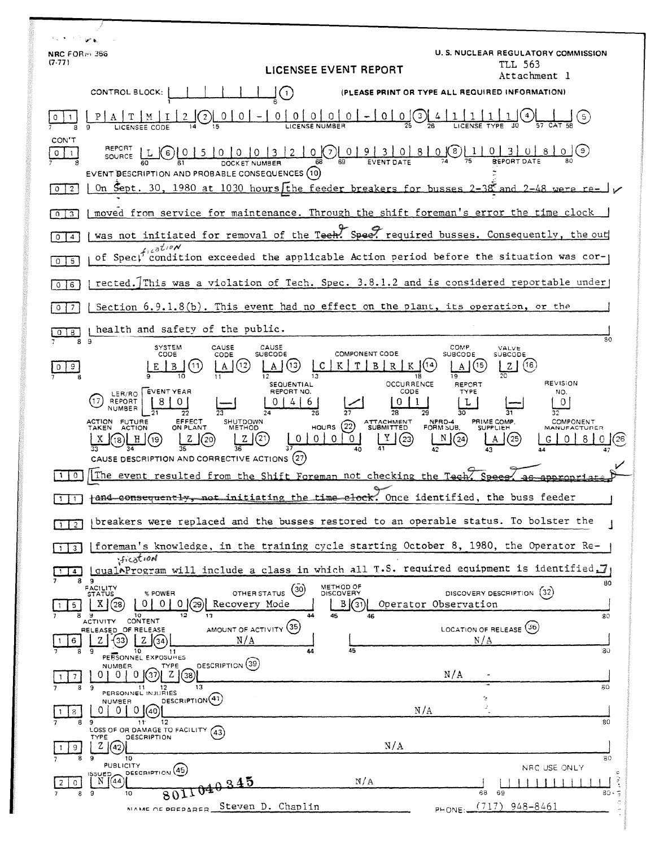| ے اس                                    |                                                                                                                                                                                                                                                                                                                                                            | U. S. NUCLEAR REGULATORY COMMISSION                                                                                                                                    |
|-----------------------------------------|------------------------------------------------------------------------------------------------------------------------------------------------------------------------------------------------------------------------------------------------------------------------------------------------------------------------------------------------------------|------------------------------------------------------------------------------------------------------------------------------------------------------------------------|
| NRC FORM 366<br>(7.77)                  | LICENSEE EVENT REPORT                                                                                                                                                                                                                                                                                                                                      | TLL 563<br>Attachment l                                                                                                                                                |
|                                         | CONTROL BLOCK:<br>$\left  \cdot \right $                                                                                                                                                                                                                                                                                                                   | (PLEASE PRINT OR TYPE ALL REQUIRED INFORMATION)                                                                                                                        |
|                                         | $\Omega$<br>0<br><sup>n</sup><br>з<br>0                                                                                                                                                                                                                                                                                                                    |                                                                                                                                                                        |
| CON'T<br>0<br>-1<br>$\overline{2}$<br>0 | REPORT<br>$\underbrace{0}_{68}$ $\underbrace{0}_{69}$ $\underbrace{1}_{9}$ $\underbrace{1}_{8}$ $\underbrace{3}_{1}$ $\underbrace{0}_{1}$<br><u>8  </u><br>5<br>0 <sub>10</sub><br>0<br>6<br><b>SOURCE</b><br>EVENT BESCRIPTION AND PROBABLE CONSEQUENCES (10)<br>On Sept. 30, 1980 at 1030 hours [the feeder breakers for busses 2-38 and                 | $0$ $(8)$<br>( ၁ )<br>were re-                                                                                                                                         |
| $\overline{3}$<br>$\Omega$              | moved from service for maintenance. Through the shift foreman's error the time clock                                                                                                                                                                                                                                                                       |                                                                                                                                                                        |
| $\overline{A}$<br>0                     | was not initiated for removal of the Teeh. Spee. required busses. Consequently, the out                                                                                                                                                                                                                                                                    |                                                                                                                                                                        |
| 5<br>0                                  | condition exceeded the applicable Action period before the situation was cor-                                                                                                                                                                                                                                                                              |                                                                                                                                                                        |
| 6<br>$\Omega$                           | rected. This was a violation of Tech. Spec. 3.8.1.2 and is considered reportable under                                                                                                                                                                                                                                                                     |                                                                                                                                                                        |
| 7<br>0                                  | Section $6.9.1.8(b)$ . This event had no effect on the plant, its operation, or the                                                                                                                                                                                                                                                                        |                                                                                                                                                                        |
| 8<br>0                                  | health and safety of the public.                                                                                                                                                                                                                                                                                                                           | 80                                                                                                                                                                     |
| 89<br>9.                                | <b>SYSTEM</b><br>CAUSE<br>CAUSE<br>CODE<br><b>SUBCODE</b><br><b>COMPONENT CODE</b><br>CODE<br>(13)<br>11<br>(12)<br>C<br>A<br>12<br>13<br>18                                                                                                                                                                                                               | COMP.<br>VALVE<br><b>SUBCODE</b><br>SUBCODE<br>(16<br>15<br>$\overline{19}$                                                                                            |
|                                         | OCCURRENCE<br><b>SEQUENTIAL</b><br><b>EVENT YEAR</b><br>REPORT NO.<br>CODE<br>LER/RO<br>REPORT<br>17<br>ь<br>NUMBER<br>29<br>28<br>74<br>26<br>EFFECT<br>ACTION FUTURE<br>SHUTDOWN<br>ATTACHMENT<br>SUBMITTED<br>(22)<br><b>HOURS</b><br>TAKEN ACTION<br>ON PLANT<br><b>METHOD</b><br>0<br>0<br>$^{(23)}$<br>CAUSE DESCRIPTION AND CORRECTIVE ACTIONS (27) | <b>REVISION</b><br>REPORT<br>TYPE<br>NO.<br>0<br>L<br>30<br>NPRD-4<br>PRIME COMP.<br>COMPONENT<br>FORM SUB.<br><b>SUPPLIEH</b><br><b>MANUFACTURER</b><br>25<br>26<br>G |
| $^{\circ}$                              | The event resulted from the Shift Foreman not checking the Tech                                                                                                                                                                                                                                                                                            | S <sub>0</sub>                                                                                                                                                         |
|                                         | fand consequently, not initiating the time elock. Once identified, the buss feeder                                                                                                                                                                                                                                                                         |                                                                                                                                                                        |
|                                         | breakers were replaced and the busses restored to an operable status. To bolster the                                                                                                                                                                                                                                                                       |                                                                                                                                                                        |
| 3                                       | [foreman's knowledge, in the training cycle starting October 8, 1980, the Operator Re-<br>fication.                                                                                                                                                                                                                                                        |                                                                                                                                                                        |
| 4<br>89                                 | [qualAProgram will include a class in which all T.S. required equipment is identified.]                                                                                                                                                                                                                                                                    | 80                                                                                                                                                                     |
| 5.                                      | METHOD OF<br>DISCOVERY<br>FACILITY<br>STATUS<br>(30)<br>OTHER STATUS<br>% POWER<br>X(28)<br>0101<br>$0 \frac{1}{29}$<br>B(31)<br>Recovery Mode<br>45<br>10<br>12<br>13<br>46                                                                                                                                                                               | DISCOVERY DESCRIPTION (32)<br>Operator Observation<br>80                                                                                                               |
| 6                                       | CONTENT<br><b>ACTIVITY</b><br>AMOUNT OF ACTIVITY (35)<br>RELEASED OF RELEASE<br>N/A<br>Z.<br>33<br>1(34)                                                                                                                                                                                                                                                   | LOCATION OF RELEASE (36)<br>N/A                                                                                                                                        |
| 9                                       | 45<br>10<br>44<br>11<br>PERSONNEL EXPOSURES<br>DESCRIPTION (39)<br><b>NUMBER</b><br><b>TYPE</b>                                                                                                                                                                                                                                                            | 80                                                                                                                                                                     |
| 9<br>8                                  | 37<br>13<br>-11<br>12<br>PERSONNEL INJURIES                                                                                                                                                                                                                                                                                                                | N/A<br>80                                                                                                                                                              |
| 8<br>8<br>-9                            | DESCRIPTION <sup>(41)</sup><br>NUMBER<br>0  (40) <br>N/A<br>12<br>11<br>LOSS OF OR DAMAGE TO FACILITY (43)                                                                                                                                                                                                                                                 | ÷<br>80                                                                                                                                                                |
| 9.<br>9                                 | DESCRIPTION<br>TYPE<br>N/A<br>2 (42)<br>10                                                                                                                                                                                                                                                                                                                 | 80                                                                                                                                                                     |
| $\Omega$                                | <b>PUBLICITY</b><br>DESCRIPTION (45)<br>15SUED,<br>N(44)<br>0.345<br>N/A                                                                                                                                                                                                                                                                                   | NRC USE ONLY<br>٠<br>ैं                                                                                                                                                |
| - 9<br>8                                | 10<br>801,<br>Steven D. Chaplin                                                                                                                                                                                                                                                                                                                            | 68<br>- 69<br>80.5<br>$(717)$ 948-8461                                                                                                                                 |
|                                         | MAME OF PREPARER                                                                                                                                                                                                                                                                                                                                           | PHONE:                                                                                                                                                                 |